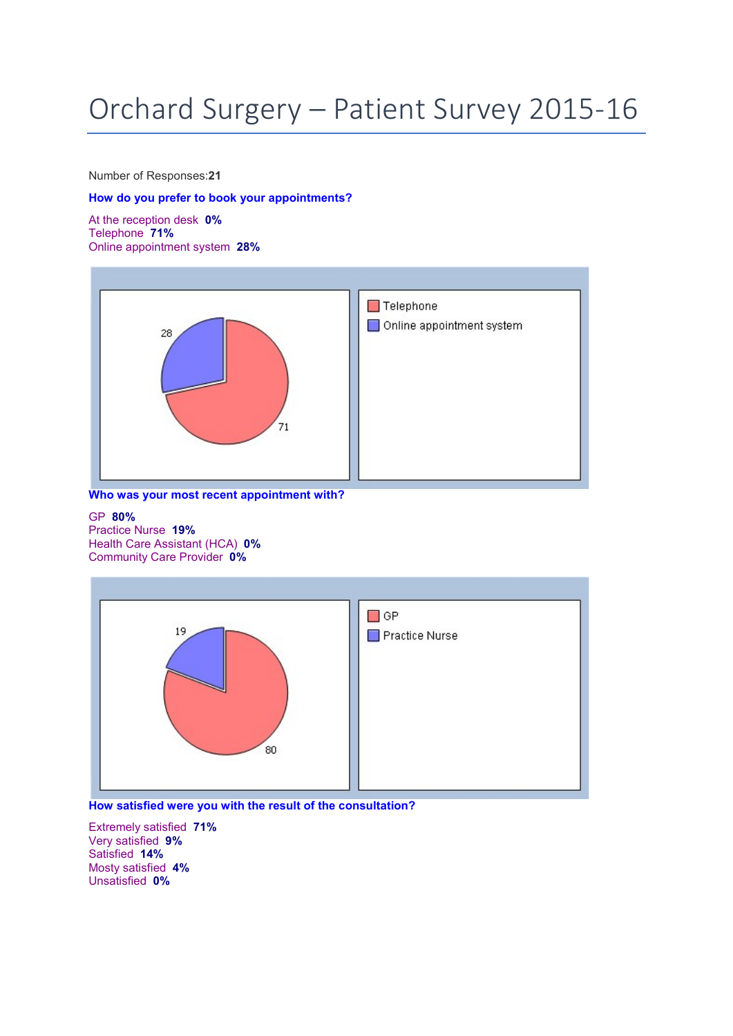## Orchard Surgery – Patient Survey 2015-16

Number of Responses:21

## How do you prefer to book your appointments?

At the reception desk 0% Telephone 71% Online appointment system 28%



Who was your most recent appointment with?

## GP 80%

Practice Nurse 19% Health Care Assistant (HCA) 0% Community Care Provider 0%



How satisfied were you with the result of the consultation?

Extremely satisfied 71% Very satisfied 9% Satisfied 14% Mosty satisfied 4% Unsatisfied 0%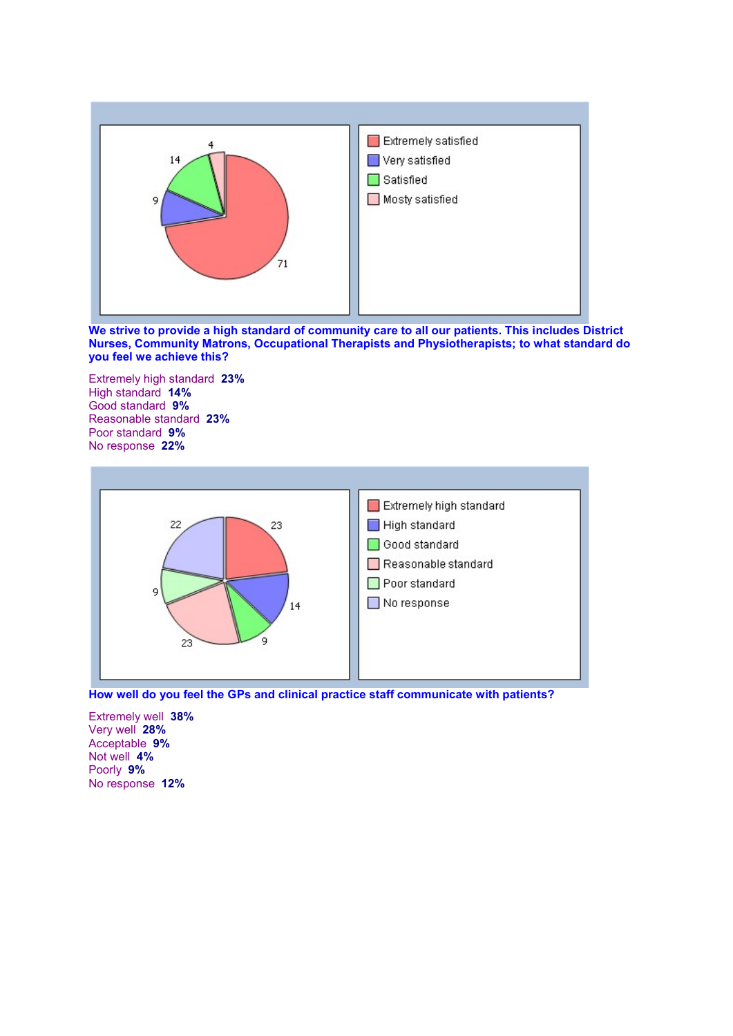

We strive to provide a high standard of community care to all our patients. This includes District Nurses, Community Matrons, Occupational Therapists and Physiotherapists; to what standard do you feel we achieve this?

Extremely high standard 23% High standard 14% Good standard 9% Reasonable standard 23% Poor standard 9% No response 22%





Extremely well 38% Very well 28% Acceptable 9% Not well 4% Poorly 9% No response 12%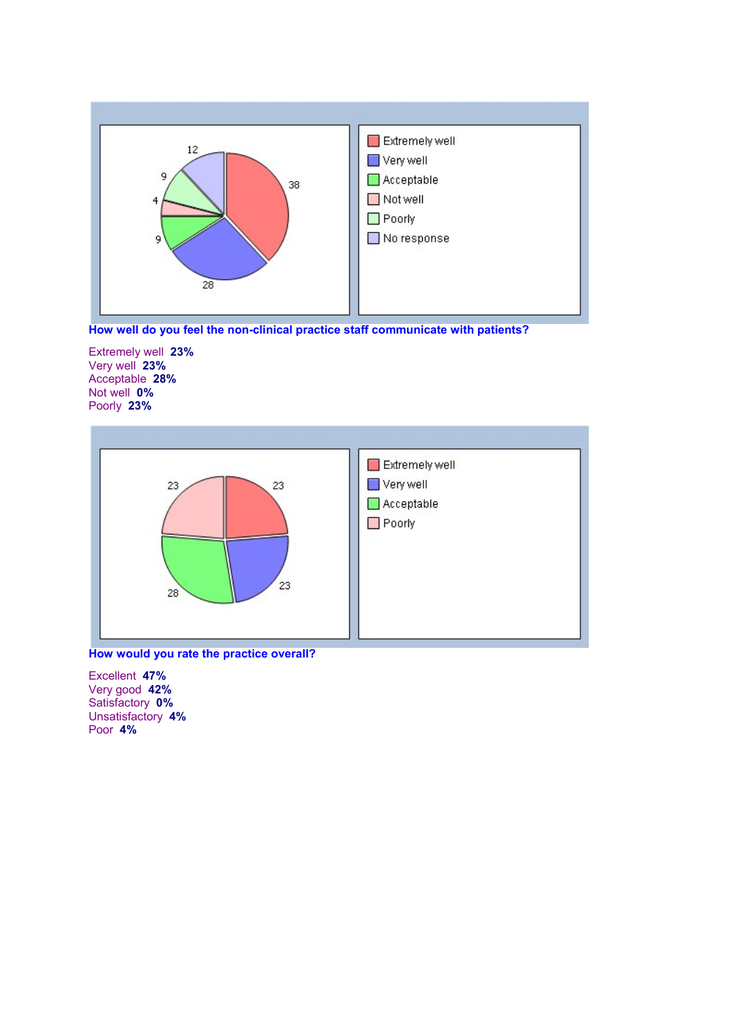



Extremely well 23% Very well 23% Acceptable 28% Not well 0% Poorly 23%



How would you rate the practice overall?

Excellent 47% Very good 42% Satisfactory 0% Unsatisfactory 4% Poor 4%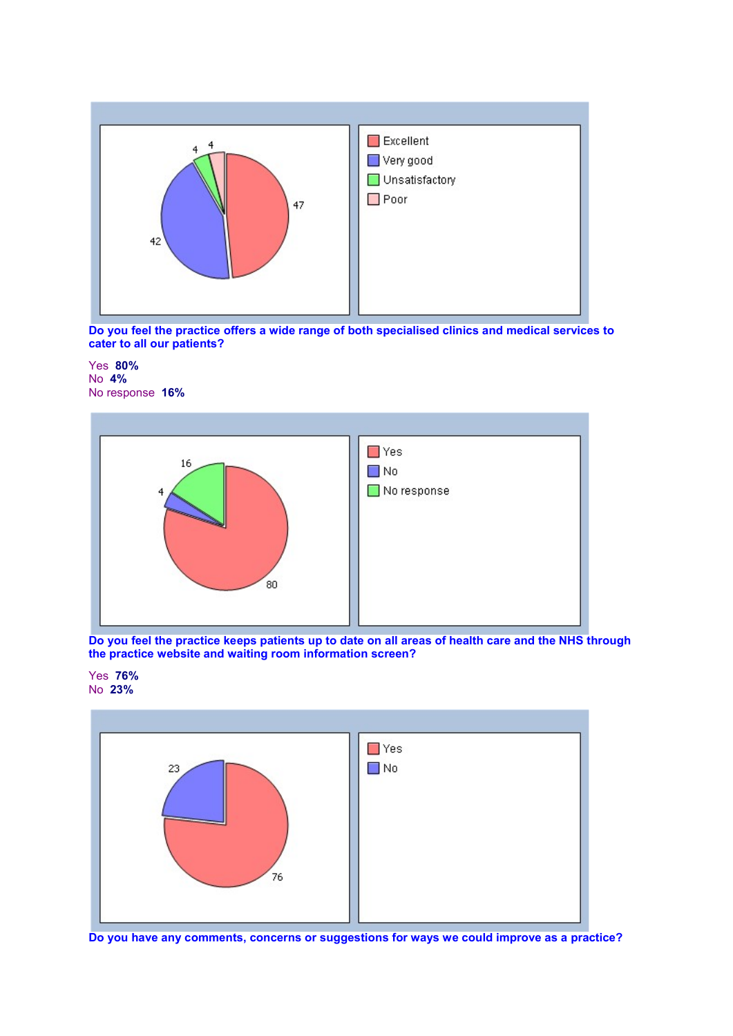

Do you feel the practice offers a wide range of both specialised clinics and medical services to cater to all our patients?

Yes 80% No 4% No response 16%



Do you feel the practice keeps patients up to date on all areas of health care and the NHS through the practice website and waiting room information screen?





Do you have any comments, concerns or suggestions for ways we could improve as a practice?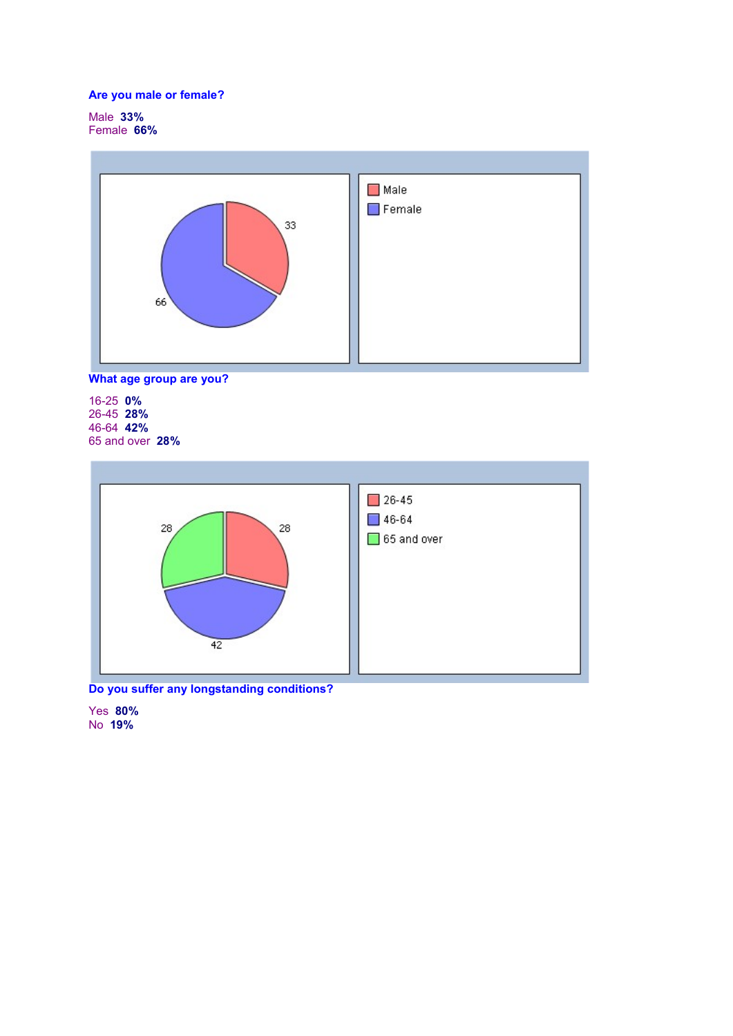## Are you male or female?

Male 33% Female 66%





16-25 0% 26-45 28% 46-64 42% 65 and over 28%



Do you suffer any longstanding conditions?

Yes 80% No 19%